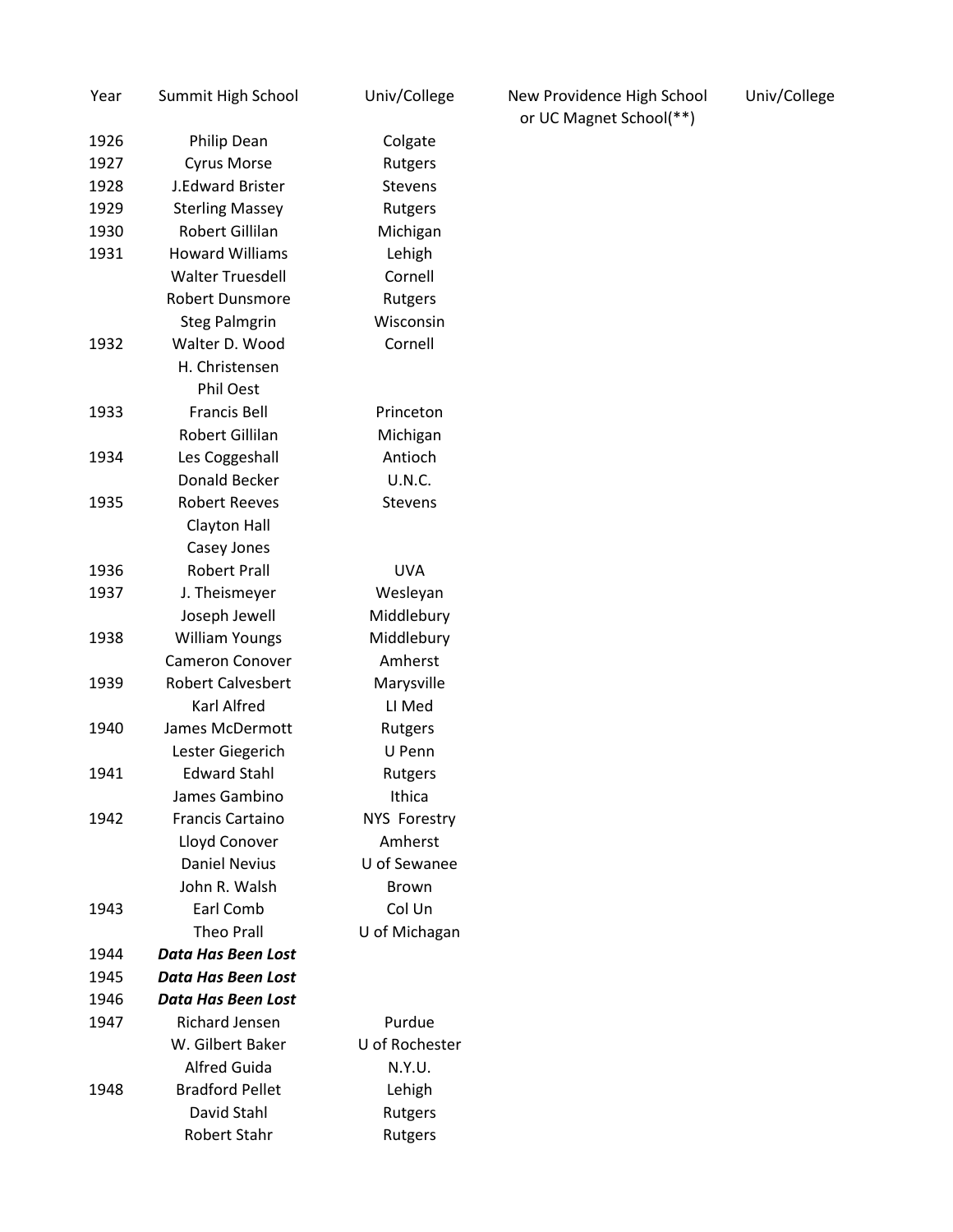| Year | Summit High School        | Univ/College   |
|------|---------------------------|----------------|
| 1926 | Philip Dean               | Colgate        |
| 1927 | <b>Cyrus Morse</b>        | Rutgers        |
| 1928 | <b>J.Edward Brister</b>   | <b>Stevens</b> |
| 1929 | <b>Sterling Massey</b>    | Rutgers        |
| 1930 | Robert Gillilan           | Michigan       |
| 1931 | <b>Howard Williams</b>    | Lehigh         |
|      | <b>Walter Truesdell</b>   | Cornell        |
|      | Robert Dunsmore           | Rutgers        |
|      | <b>Steg Palmgrin</b>      | Wisconsin      |
| 1932 | Walter D. Wood            | Cornell        |
|      | H. Christensen            |                |
|      | <b>Phil Oest</b>          |                |
| 1933 | <b>Francis Bell</b>       | Princeton      |
|      | Robert Gillilan           | Michigan       |
| 1934 | Les Coggeshall            | Antioch        |
|      | Donald Becker             | <b>U.N.C.</b>  |
| 1935 | <b>Robert Reeves</b>      | <b>Stevens</b> |
|      | <b>Clayton Hall</b>       |                |
|      | Casey Jones               |                |
| 1936 | <b>Robert Prall</b>       | <b>UVA</b>     |
| 1937 | J. Theismeyer             | Wesleyan       |
|      | Joseph Jewell             | Middlebury     |
| 1938 | <b>William Youngs</b>     | Middlebury     |
|      | <b>Cameron Conover</b>    | Amherst        |
| 1939 | <b>Robert Calvesbert</b>  | Marysville     |
|      | Karl Alfred               | LI Med         |
| 1940 | James McDermott           | Rutgers        |
|      | Lester Giegerich          | U Penn         |
| 1941 | <b>Edward Stahl</b>       | Rutgers        |
|      | James Gambino             | Ithica         |
| 1942 | <b>Francis Cartaino</b>   | NYS Forestry   |
|      | Lloyd Conover             | Amherst        |
|      | <b>Daniel Nevius</b>      | U of Sewanee   |
|      | John R. Walsh             | <b>Brown</b>   |
| 1943 | Earl Comb                 | Col Un         |
|      | <b>Theo Prall</b>         | U of Michagan  |
| 1944 | <b>Data Has Been Lost</b> |                |
| 1945 | Data Has Been Lost        |                |
| 1946 | <b>Data Has Been Lost</b> |                |
| 1947 | <b>Richard Jensen</b>     | Purdue         |
|      | W. Gilbert Baker          | U of Rochester |
|      | <b>Alfred Guida</b>       | N.Y.U.         |
| 1948 | <b>Bradford Pellet</b>    | Lehigh         |
|      | David Stahl               | Rutgers        |
|      | <b>Robert Stahr</b>       | Rutgers        |

New Providence High School Univ/College or UC Magnet School(\*\*)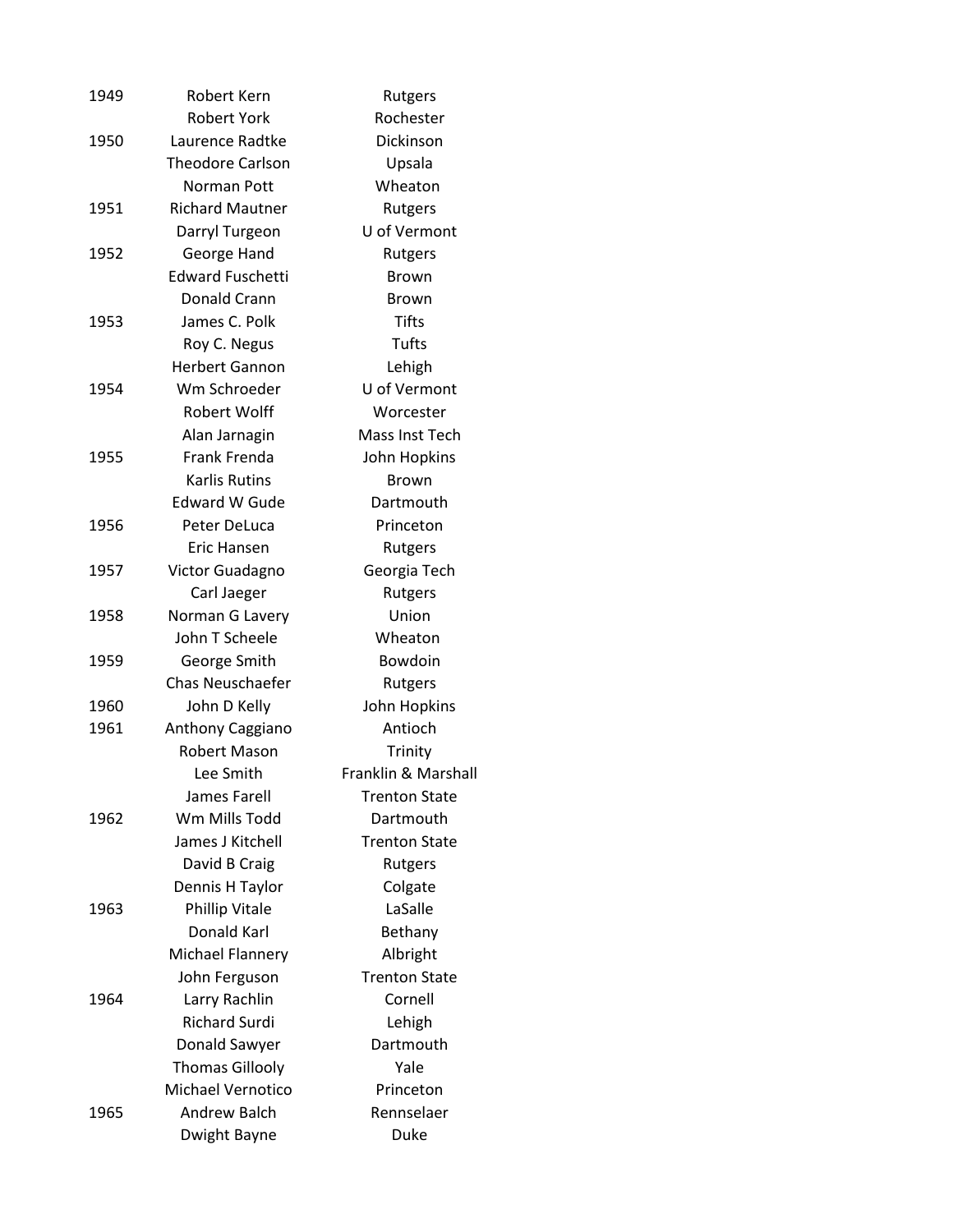| 1949 | Robert Kern              | Rutgers              |
|------|--------------------------|----------------------|
|      | <b>Robert York</b>       | Rochester            |
| 1950 | Laurence Radtke          | Dickinson            |
|      | <b>Theodore Carlson</b>  | Upsala               |
|      | Norman Pott              | Wheaton              |
| 1951 | <b>Richard Mautner</b>   | Rutgers              |
|      | Darryl Turgeon           | U of Vermont         |
| 1952 | George Hand              | Rutgers              |
|      | <b>Edward Fuschetti</b>  | <b>Brown</b>         |
|      | Donald Crann             | <b>Brown</b>         |
| 1953 | James C. Polk            | <b>Tifts</b>         |
|      | Roy C. Negus             | Tufts                |
|      | <b>Herbert Gannon</b>    | Lehigh               |
| 1954 | Wm Schroeder             | U of Vermont         |
|      | <b>Robert Wolff</b>      | Worcester            |
|      | Alan Jarnagin            | Mass Inst Tech       |
| 1955 | <b>Frank Frenda</b>      | John Hopkins         |
|      | <b>Karlis Rutins</b>     | <b>Brown</b>         |
|      | <b>Edward W Gude</b>     | Dartmouth            |
| 1956 | Peter DeLuca             | Princeton            |
|      | Eric Hansen              | Rutgers              |
| 1957 | Victor Guadagno          | Georgia Tech         |
|      | Carl Jaeger              | Rutgers              |
| 1958 | Norman G Lavery          | Union                |
|      | John T Scheele           | Wheaton              |
| 1959 | George Smith             | Bowdoin              |
|      | <b>Chas Neuschaefer</b>  | Rutgers              |
| 1960 | John D Kelly             | John Hopkins         |
| 1961 | Anthony Caggiano         | Antioch              |
|      | <b>Robert Mason</b>      | Trinity              |
|      | Lee Smith                | Franklin & Marshall  |
|      | James Farell             | <b>Trenton State</b> |
| 1962 | Wm Mills Todd            | Dartmouth            |
|      | James J Kitchell         | <b>Trenton State</b> |
|      | David B Craig            | Rutgers              |
|      | Dennis H Taylor          | Colgate              |
| 1963 | <b>Phillip Vitale</b>    | LaSalle              |
|      | Donald Karl              | Bethany              |
|      | Michael Flannery         | Albright             |
|      | John Ferguson            | <b>Trenton State</b> |
| 1964 | Larry Rachlin            | Cornell              |
|      | <b>Richard Surdi</b>     | Lehigh               |
|      | Donald Sawyer            | Dartmouth            |
|      | <b>Thomas Gillooly</b>   | Yale                 |
|      | <b>Michael Vernotico</b> | Princeton            |
| 1965 | <b>Andrew Balch</b>      | Rennselaer           |
|      | Dwight Bayne             | Duke                 |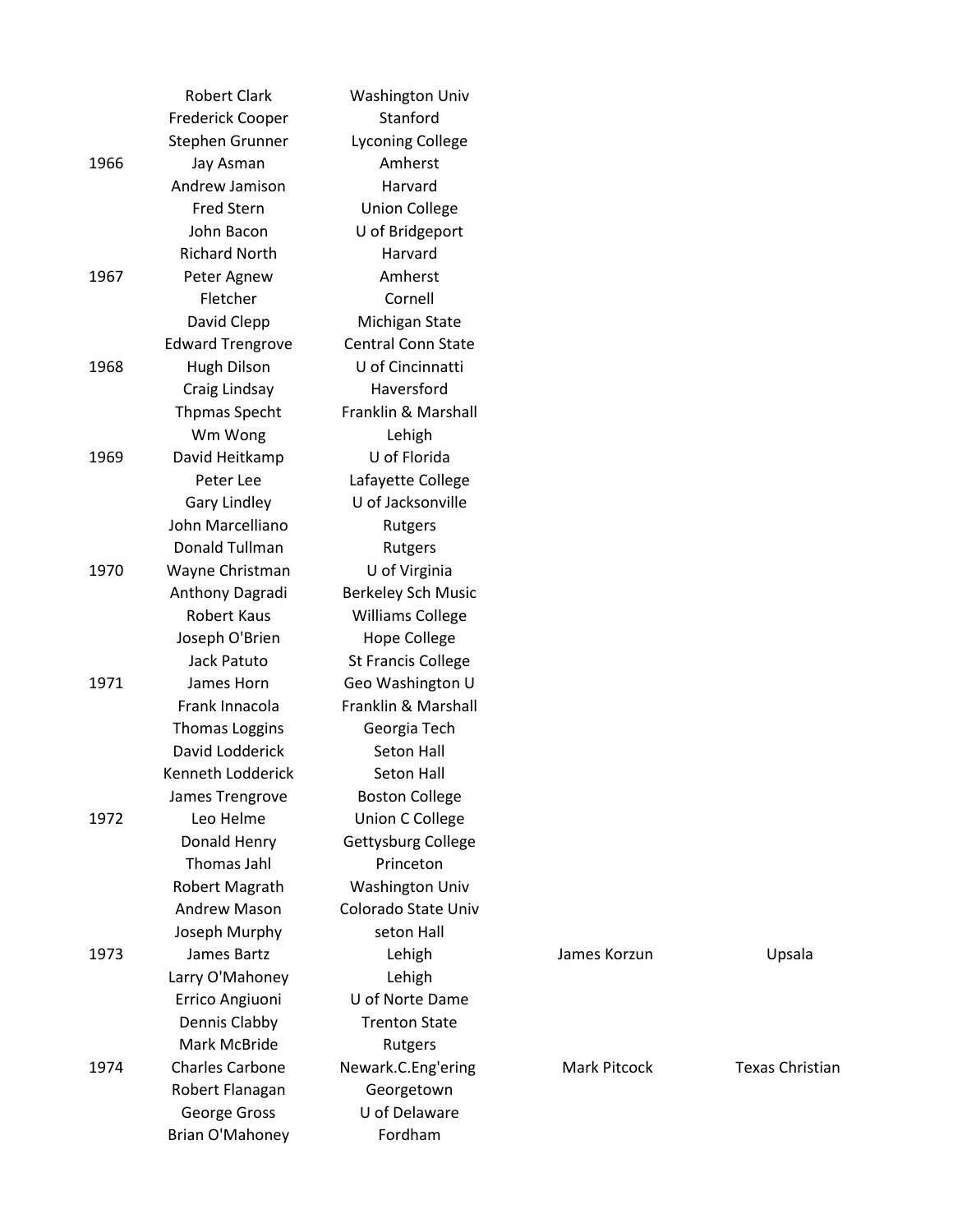|      | <b>Robert Clark</b>     | <b>Washington Univ</b>    |              |                 |
|------|-------------------------|---------------------------|--------------|-----------------|
|      | <b>Frederick Cooper</b> | Stanford                  |              |                 |
|      | Stephen Grunner         | <b>Lyconing College</b>   |              |                 |
| 1966 | Jay Asman               | Amherst                   |              |                 |
|      | Andrew Jamison          | Harvard                   |              |                 |
|      | Fred Stern              | <b>Union College</b>      |              |                 |
|      | John Bacon              | U of Bridgeport           |              |                 |
|      | <b>Richard North</b>    | Harvard                   |              |                 |
| 1967 | Peter Agnew             | Amherst                   |              |                 |
|      | Fletcher                | Cornell                   |              |                 |
|      | David Clepp             | Michigan State            |              |                 |
|      | <b>Edward Trengrove</b> | <b>Central Conn State</b> |              |                 |
| 1968 | <b>Hugh Dilson</b>      | U of Cincinnatti          |              |                 |
|      | Craig Lindsay           | Haversford                |              |                 |
|      | <b>Thpmas Specht</b>    | Franklin & Marshall       |              |                 |
|      | Wm Wong                 | Lehigh                    |              |                 |
| 1969 | David Heitkamp          | U of Florida              |              |                 |
|      | Peter Lee               | Lafayette College         |              |                 |
|      | <b>Gary Lindley</b>     | U of Jacksonville         |              |                 |
|      | John Marcelliano        | Rutgers                   |              |                 |
|      | Donald Tullman          | Rutgers                   |              |                 |
| 1970 | Wayne Christman         | U of Virginia             |              |                 |
|      | Anthony Dagradi         | <b>Berkeley Sch Music</b> |              |                 |
|      | <b>Robert Kaus</b>      | <b>Williams College</b>   |              |                 |
|      | Joseph O'Brien          | <b>Hope College</b>       |              |                 |
|      | <b>Jack Patuto</b>      | <b>St Francis College</b> |              |                 |
| 1971 | James Horn              | Geo Washington U          |              |                 |
|      | Frank Innacola          | Franklin & Marshall       |              |                 |
|      | <b>Thomas Loggins</b>   | Georgia Tech              |              |                 |
|      | David Lodderick         | <b>Seton Hall</b>         |              |                 |
|      | Kenneth Lodderick       | Seton Hall                |              |                 |
|      | James Trengrove         | <b>Boston College</b>     |              |                 |
| 1972 | Leo Helme               | <b>Union C College</b>    |              |                 |
|      | Donald Henry            | Gettysburg College        |              |                 |
|      | Thomas Jahl             | Princeton                 |              |                 |
|      | Robert Magrath          | <b>Washington Univ</b>    |              |                 |
|      | <b>Andrew Mason</b>     | Colorado State Univ       |              |                 |
|      | Joseph Murphy           | seton Hall                |              |                 |
| 1973 | James Bartz             | Lehigh                    | James Korzun | Upsala          |
|      | Larry O'Mahoney         | Lehigh                    |              |                 |
|      | Errico Angiuoni         | U of Norte Dame           |              |                 |
|      | Dennis Clabby           | <b>Trenton State</b>      |              |                 |
|      | Mark McBride            | Rutgers                   |              |                 |
| 1974 | <b>Charles Carbone</b>  | Newark.C.Eng'ering        | Mark Pitcock | Texas Christian |
|      | Robert Flanagan         | Georgetown                |              |                 |
|      | George Gross            | U of Delaware             |              |                 |
|      | Brian O'Mahoney         | Fordham                   |              |                 |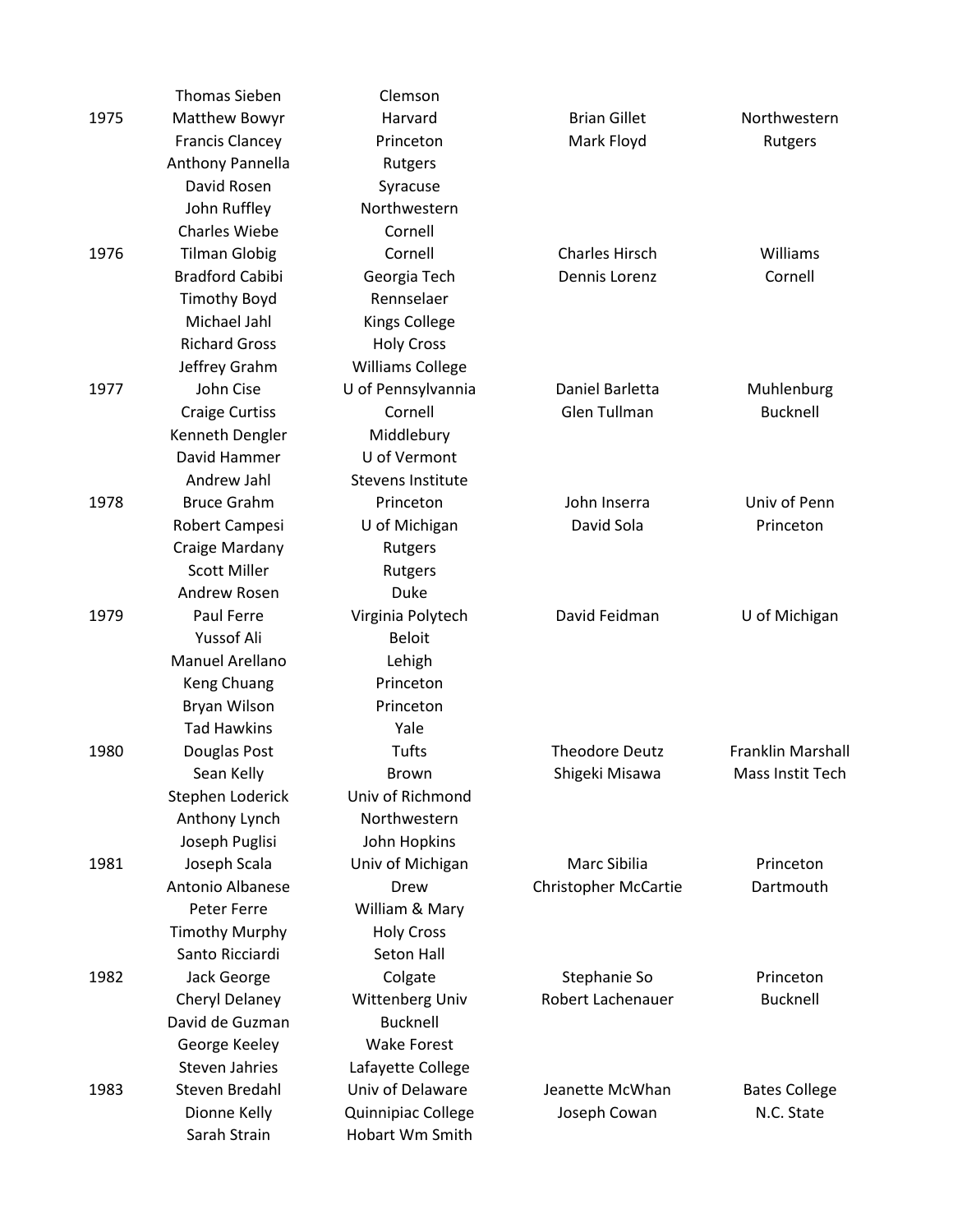|      | <b>Thomas Sieben</b>   | Clemson                  |                             |                      |
|------|------------------------|--------------------------|-----------------------------|----------------------|
| 1975 | Matthew Bowyr          | Harvard                  | <b>Brian Gillet</b>         | Northwestern         |
|      | <b>Francis Clancey</b> | Princeton                | Mark Floyd                  | Rutgers              |
|      | Anthony Pannella       | Rutgers                  |                             |                      |
|      | David Rosen            | Syracuse                 |                             |                      |
|      | John Ruffley           | Northwestern             |                             |                      |
|      | <b>Charles Wiebe</b>   | Cornell                  |                             |                      |
| 1976 | <b>Tilman Globig</b>   | Cornell                  | <b>Charles Hirsch</b>       | Williams             |
|      | <b>Bradford Cabibi</b> | Georgia Tech             | Dennis Lorenz               | Cornell              |
|      | <b>Timothy Boyd</b>    | Rennselaer               |                             |                      |
|      | Michael Jahl           | <b>Kings College</b>     |                             |                      |
|      | <b>Richard Gross</b>   | <b>Holy Cross</b>        |                             |                      |
|      | Jeffrey Grahm          | <b>Williams College</b>  |                             |                      |
| 1977 | John Cise              | U of Pennsylvannia       | Daniel Barletta             | Muhlenburg           |
|      | <b>Craige Curtiss</b>  | Cornell                  | Glen Tullman                | <b>Bucknell</b>      |
|      | Kenneth Dengler        | Middlebury               |                             |                      |
|      | David Hammer           | U of Vermont             |                             |                      |
|      | Andrew Jahl            | <b>Stevens Institute</b> |                             |                      |
| 1978 | <b>Bruce Grahm</b>     | Princeton                | John Inserra                | Univ of Penn         |
|      | Robert Campesi         | U of Michigan            | David Sola                  | Princeton            |
|      | Craige Mardany         | Rutgers                  |                             |                      |
|      | <b>Scott Miller</b>    | Rutgers                  |                             |                      |
|      | Andrew Rosen           | Duke                     |                             |                      |
| 1979 | Paul Ferre             | Virginia Polytech        | David Feidman               | U of Michigan        |
|      | Yussof Ali             | <b>Beloit</b>            |                             |                      |
|      | Manuel Arellano        | Lehigh                   |                             |                      |
|      | Keng Chuang            | Princeton                |                             |                      |
|      | Bryan Wilson           | Princeton                |                             |                      |
|      | <b>Tad Hawkins</b>     | Yale                     |                             |                      |
| 1980 | Douglas Post           | Tufts                    | <b>Theodore Deutz</b>       | Franklin Marshall    |
|      | Sean Kelly             | Brown                    | Shigeki Misawa              | Mass Instit Tech     |
|      | Stephen Loderick       | Univ of Richmond         |                             |                      |
|      | Anthony Lynch          | Northwestern             |                             |                      |
|      | Joseph Puglisi         | John Hopkins             |                             |                      |
| 1981 | Joseph Scala           | Univ of Michigan         | Marc Sibilia                | Princeton            |
|      | Antonio Albanese       | Drew                     | <b>Christopher McCartie</b> | Dartmouth            |
|      | Peter Ferre            | William & Mary           |                             |                      |
|      | <b>Timothy Murphy</b>  | <b>Holy Cross</b>        |                             |                      |
|      | Santo Ricciardi        | Seton Hall               |                             |                      |
| 1982 | Jack George            | Colgate                  | Stephanie So                | Princeton            |
|      | Cheryl Delaney         | Wittenberg Univ          | Robert Lachenauer           | <b>Bucknell</b>      |
|      | David de Guzman        | <b>Bucknell</b>          |                             |                      |
|      | George Keeley          | <b>Wake Forest</b>       |                             |                      |
|      | Steven Jahries         | Lafayette College        |                             |                      |
| 1983 | Steven Bredahl         | Univ of Delaware         | Jeanette McWhan             | <b>Bates College</b> |
|      | Dionne Kelly           | Quinnipiac College       | Joseph Cowan                | N.C. State           |
|      | Sarah Strain           | Hobart Wm Smith          |                             |                      |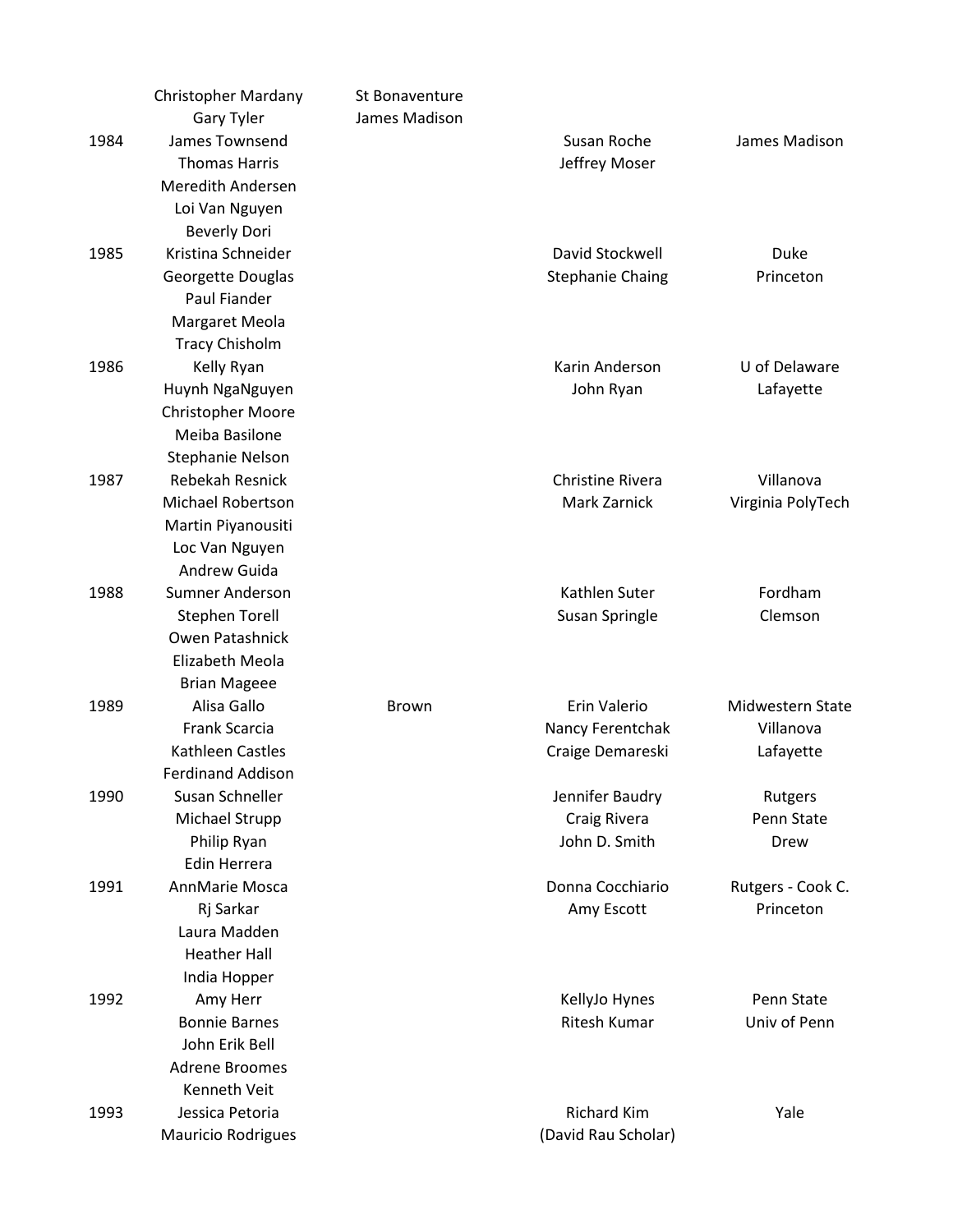|      | <b>Christopher Mardany</b> | St Bonaventure |                         |                   |
|------|----------------------------|----------------|-------------------------|-------------------|
|      | <b>Gary Tyler</b>          | James Madison  |                         |                   |
| 1984 | James Townsend             |                | Susan Roche             | James Madison     |
|      | <b>Thomas Harris</b>       |                | Jeffrey Moser           |                   |
|      | <b>Meredith Andersen</b>   |                |                         |                   |
|      | Loi Van Nguyen             |                |                         |                   |
|      | <b>Beverly Dori</b>        |                |                         |                   |
| 1985 | Kristina Schneider         |                | David Stockwell         | Duke              |
|      | Georgette Douglas          |                | <b>Stephanie Chaing</b> | Princeton         |
|      | Paul Fiander               |                |                         |                   |
|      | Margaret Meola             |                |                         |                   |
|      | <b>Tracy Chisholm</b>      |                |                         |                   |
| 1986 | Kelly Ryan                 |                | Karin Anderson          | U of Delaware     |
|      | Huynh NgaNguyen            |                | John Ryan               | Lafayette         |
|      | <b>Christopher Moore</b>   |                |                         |                   |
|      | Meiba Basilone             |                |                         |                   |
|      | <b>Stephanie Nelson</b>    |                |                         |                   |
| 1987 | <b>Rebekah Resnick</b>     |                | Christine Rivera        | Villanova         |
|      | <b>Michael Robertson</b>   |                | <b>Mark Zarnick</b>     | Virginia PolyTech |
|      | Martin Piyanousiti         |                |                         |                   |
|      | Loc Van Nguyen             |                |                         |                   |
|      | Andrew Guida               |                |                         |                   |
| 1988 | <b>Sumner Anderson</b>     |                | Kathlen Suter           | Fordham           |
|      | <b>Stephen Torell</b>      |                | Susan Springle          | Clemson           |
|      | Owen Patashnick            |                |                         |                   |
|      | Elizabeth Meola            |                |                         |                   |
|      | <b>Brian Mageee</b>        |                |                         |                   |
| 1989 | Alisa Gallo                | <b>Brown</b>   | Erin Valerio            | Midwestern State  |
|      | Frank Scarcia              |                | Nancy Ferentchak        | Villanova         |
|      | Kathleen Castles           |                | Craige Demareski        | Lafayette         |
|      | <b>Ferdinand Addison</b>   |                |                         |                   |
| 1990 | Susan Schneller            |                | Jennifer Baudry         | Rutgers           |
|      | Michael Strupp             |                | Craig Rivera            | Penn State        |
|      | Philip Ryan                |                | John D. Smith           | Drew              |
|      | Edin Herrera               |                |                         |                   |
| 1991 | AnnMarie Mosca             |                | Donna Cocchiario        | Rutgers - Cook C. |
|      | Rj Sarkar                  |                | Amy Escott              | Princeton         |
|      | Laura Madden               |                |                         |                   |
|      | <b>Heather Hall</b>        |                |                         |                   |
|      | India Hopper               |                |                         |                   |
| 1992 | Amy Herr                   |                | KellyJo Hynes           | Penn State        |
|      | <b>Bonnie Barnes</b>       |                | Ritesh Kumar            | Univ of Penn      |
|      | John Erik Bell             |                |                         |                   |
|      | <b>Adrene Broomes</b>      |                |                         |                   |
|      | Kenneth Veit               |                |                         |                   |
| 1993 | Jessica Petoria            |                | <b>Richard Kim</b>      | Yale              |
|      | <b>Mauricio Rodrigues</b>  |                | (David Rau Scholar)     |                   |
|      |                            |                |                         |                   |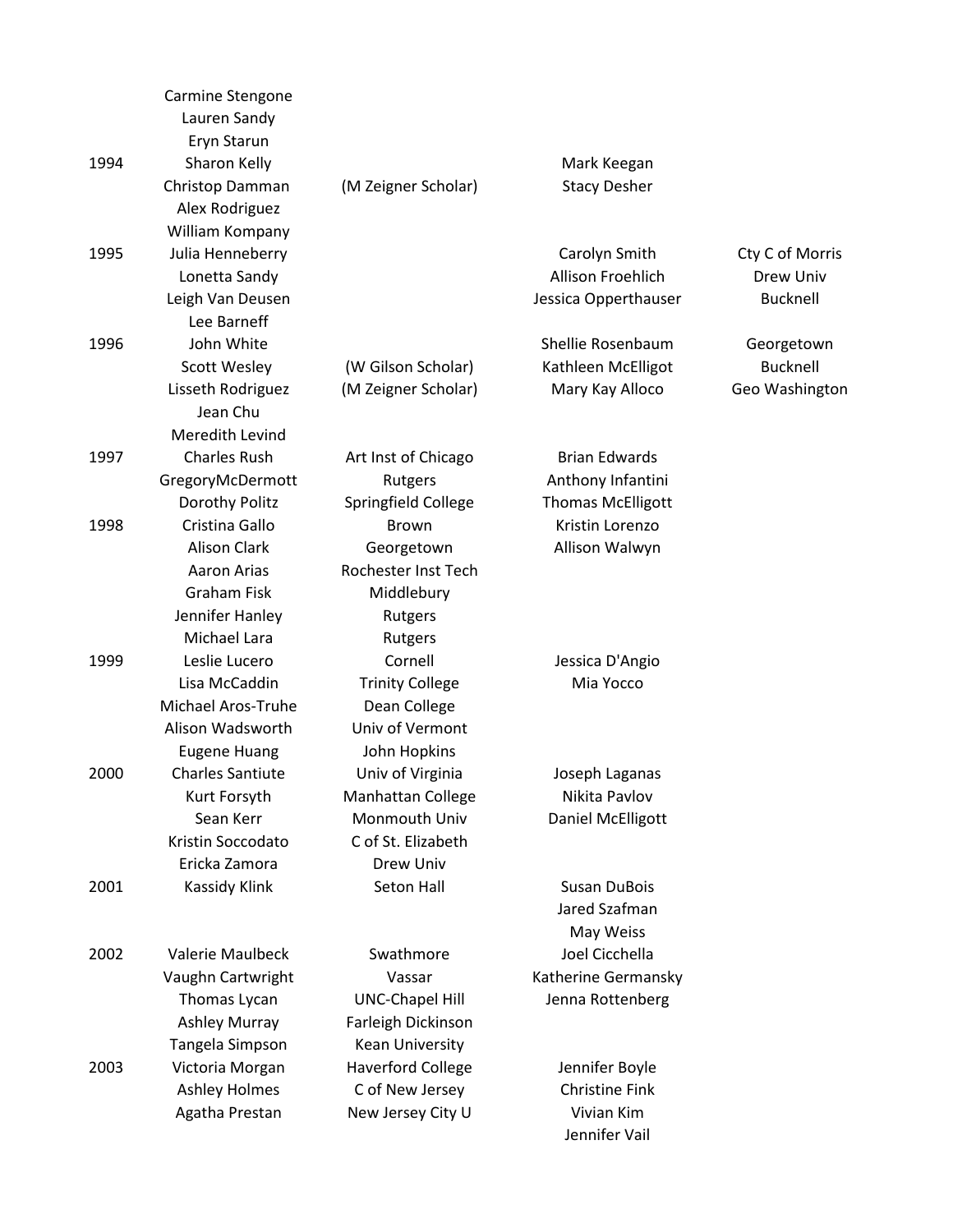|      | Carmine Stengone        |                          |                          |                 |
|------|-------------------------|--------------------------|--------------------------|-----------------|
|      | Lauren Sandy            |                          |                          |                 |
|      | Eryn Starun             |                          |                          |                 |
| 1994 | Sharon Kelly            |                          | Mark Keegan              |                 |
|      | Christop Damman         | (M Zeigner Scholar)      | <b>Stacy Desher</b>      |                 |
|      | Alex Rodriguez          |                          |                          |                 |
|      | William Kompany         |                          |                          |                 |
| 1995 | Julia Henneberry        |                          | Carolyn Smith            | Cty C of Morris |
|      | Lonetta Sandy           |                          | Allison Froehlich        | Drew Univ       |
|      | Leigh Van Deusen        |                          | Jessica Opperthauser     | <b>Bucknell</b> |
|      | Lee Barneff             |                          |                          |                 |
| 1996 | John White              |                          | Shellie Rosenbaum        | Georgetown      |
|      | <b>Scott Wesley</b>     | (W Gilson Scholar)       | Kathleen McElligot       | <b>Bucknell</b> |
|      | Lisseth Rodriguez       | (M Zeigner Scholar)      | Mary Kay Alloco          | Geo Washington  |
|      | Jean Chu                |                          |                          |                 |
|      | Meredith Levind         |                          |                          |                 |
| 1997 | <b>Charles Rush</b>     | Art Inst of Chicago      | <b>Brian Edwards</b>     |                 |
|      | GregoryMcDermott        | Rutgers                  | Anthony Infantini        |                 |
|      | Dorothy Politz          | Springfield College      | <b>Thomas McElligott</b> |                 |
| 1998 | Cristina Gallo          | <b>Brown</b>             | Kristin Lorenzo          |                 |
|      | <b>Alison Clark</b>     | Georgetown               | Allison Walwyn           |                 |
|      | Aaron Arias             | Rochester Inst Tech      |                          |                 |
|      | <b>Graham Fisk</b>      | Middlebury               |                          |                 |
|      | Jennifer Hanley         | Rutgers                  |                          |                 |
|      | Michael Lara            | Rutgers                  |                          |                 |
| 1999 | Leslie Lucero           | Cornell                  | Jessica D'Angio          |                 |
|      | Lisa McCaddin           | <b>Trinity College</b>   | Mia Yocco                |                 |
|      | Michael Aros-Truhe      | Dean College             |                          |                 |
|      | Alison Wadsworth        | Univ of Vermont          |                          |                 |
|      | <b>Eugene Huang</b>     | John Hopkins             |                          |                 |
| 2000 | <b>Charles Santiute</b> | Univ of Virginia         | Joseph Laganas           |                 |
|      | Kurt Forsyth            | Manhattan College        | Nikita Pavlov            |                 |
|      | Sean Kerr               | Monmouth Univ            | Daniel McElligott        |                 |
|      | Kristin Soccodato       | C of St. Elizabeth       |                          |                 |
|      | Ericka Zamora           | Drew Univ                |                          |                 |
| 2001 | Kassidy Klink           | Seton Hall               | <b>Susan DuBois</b>      |                 |
|      |                         |                          | Jared Szafman            |                 |
|      |                         |                          | May Weiss                |                 |
| 2002 | Valerie Maulbeck        | Swathmore                | Joel Cicchella           |                 |
|      | Vaughn Cartwright       | Vassar                   | Katherine Germansky      |                 |
|      | Thomas Lycan            | <b>UNC-Chapel Hill</b>   | Jenna Rottenberg         |                 |
|      | Ashley Murray           | Farleigh Dickinson       |                          |                 |
|      | Tangela Simpson         | Kean University          |                          |                 |
| 2003 | Victoria Morgan         | <b>Haverford College</b> | Jennifer Boyle           |                 |
|      | <b>Ashley Holmes</b>    | C of New Jersey          | <b>Christine Fink</b>    |                 |
|      | Agatha Prestan          | New Jersey City U        | Vivian Kim               |                 |
|      |                         |                          | Jennifer Vail            |                 |
|      |                         |                          |                          |                 |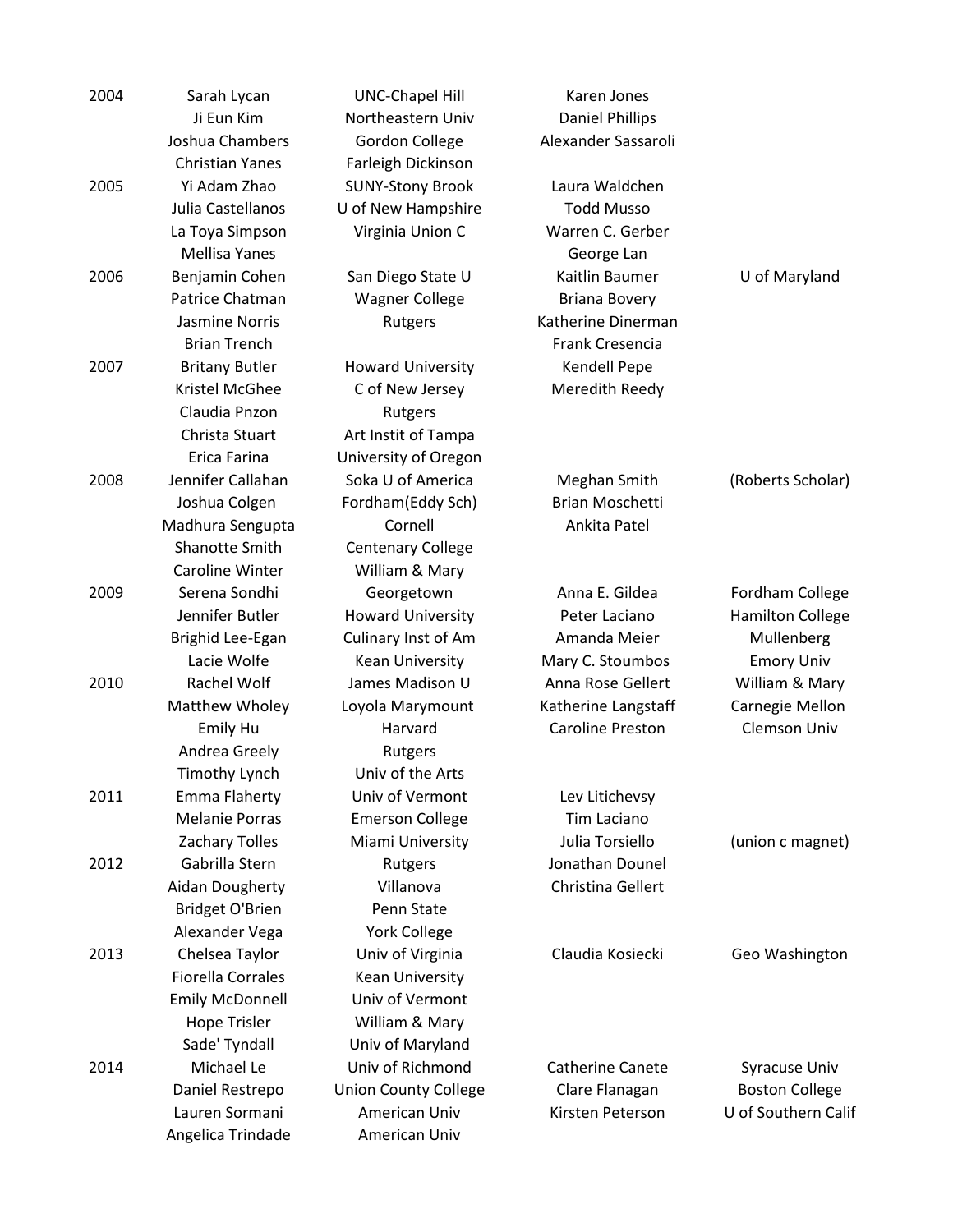| 2004 | Sarah Lycan              | <b>UNC-Chapel Hill</b>      | Karen Jones             |                         |
|------|--------------------------|-----------------------------|-------------------------|-------------------------|
|      | Ji Eun Kim               | Northeastern Univ           | <b>Daniel Phillips</b>  |                         |
|      | Joshua Chambers          | <b>Gordon College</b>       | Alexander Sassaroli     |                         |
|      | <b>Christian Yanes</b>   | Farleigh Dickinson          |                         |                         |
| 2005 | Yi Adam Zhao             | <b>SUNY-Stony Brook</b>     | Laura Waldchen          |                         |
|      | Julia Castellanos        | U of New Hampshire          | <b>Todd Musso</b>       |                         |
|      | La Toya Simpson          | Virginia Union C            | Warren C. Gerber        |                         |
|      | <b>Mellisa Yanes</b>     |                             | George Lan              |                         |
| 2006 | Benjamin Cohen           | San Diego State U           | Kaitlin Baumer          | U of Maryland           |
|      | Patrice Chatman          | <b>Wagner College</b>       | <b>Briana Bovery</b>    |                         |
|      | Jasmine Norris           | Rutgers                     | Katherine Dinerman      |                         |
|      | <b>Brian Trench</b>      |                             | Frank Cresencia         |                         |
| 2007 | <b>Britany Butler</b>    | <b>Howard University</b>    | Kendell Pepe            |                         |
|      | Kristel McGhee           | C of New Jersey             | Meredith Reedy          |                         |
|      | Claudia Pnzon            | Rutgers                     |                         |                         |
|      | Christa Stuart           | Art Instit of Tampa         |                         |                         |
|      | Erica Farina             | University of Oregon        |                         |                         |
| 2008 | Jennifer Callahan        | Soka U of America           | Meghan Smith            | (Roberts Scholar)       |
|      | Joshua Colgen            | Fordham(Eddy Sch)           | <b>Brian Moschetti</b>  |                         |
|      | Madhura Sengupta         | Cornell                     | Ankita Patel            |                         |
|      | Shanotte Smith           | <b>Centenary College</b>    |                         |                         |
|      | <b>Caroline Winter</b>   | William & Mary              |                         |                         |
| 2009 | Serena Sondhi            | Georgetown                  | Anna E. Gildea          | Fordham College         |
|      | Jennifer Butler          | <b>Howard University</b>    | Peter Laciano           | <b>Hamilton College</b> |
|      | Brighid Lee-Egan         | Culinary Inst of Am         | Amanda Meier            | Mullenberg              |
|      | Lacie Wolfe              | Kean University             | Mary C. Stoumbos        | <b>Emory Univ</b>       |
| 2010 | Rachel Wolf              | James Madison U             | Anna Rose Gellert       | William & Mary          |
|      | Matthew Wholey           | Loyola Marymount            | Katherine Langstaff     | Carnegie Mellon         |
|      | Emily Hu                 | Harvard                     | <b>Caroline Preston</b> | Clemson Univ            |
|      | Andrea Greely            | Rutgers                     |                         |                         |
|      | Timothy Lynch            | Univ of the Arts            |                         |                         |
| 2011 | Emma Flaherty            | Univ of Vermont             | Lev Litichevsy          |                         |
|      | <b>Melanie Porras</b>    | <b>Emerson College</b>      | Tim Laciano             |                         |
|      | Zachary Tolles           | Miami University            | Julia Torsiello         | (union c magnet)        |
| 2012 | Gabrilla Stern           | Rutgers                     | Jonathan Dounel         |                         |
|      | Aidan Dougherty          | Villanova                   | Christina Gellert       |                         |
|      | <b>Bridget O'Brien</b>   | Penn State                  |                         |                         |
|      | Alexander Vega           | <b>York College</b>         |                         |                         |
| 2013 | Chelsea Taylor           | Univ of Virginia            | Claudia Kosiecki        | Geo Washington          |
|      | <b>Fiorella Corrales</b> | Kean University             |                         |                         |
|      | <b>Emily McDonnell</b>   | Univ of Vermont             |                         |                         |
|      | <b>Hope Trisler</b>      | William & Mary              |                         |                         |
|      | Sade' Tyndall            | Univ of Maryland            |                         |                         |
| 2014 | Michael Le               | Univ of Richmond            | <b>Catherine Canete</b> | Syracuse Univ           |
|      | Daniel Restrepo          | <b>Union County College</b> | Clare Flanagan          | <b>Boston College</b>   |
|      | Lauren Sormani           | American Univ               | Kirsten Peterson        | U of Southern Calif     |
|      | Angelica Trindade        | American Univ               |                         |                         |